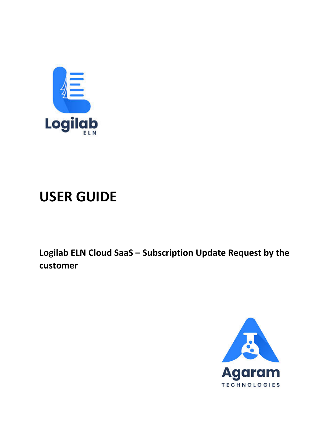

# **USER GUIDE**

Logilab ELN Cloud SaaS - Subscription Update Request by the customer

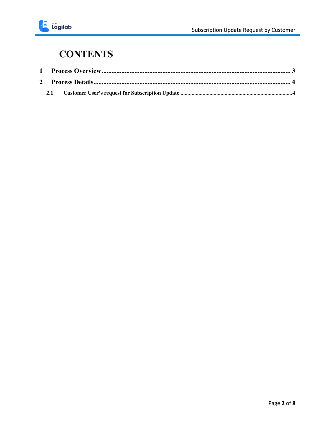#### **CONTENTS**

| 2.1 |  |
|-----|--|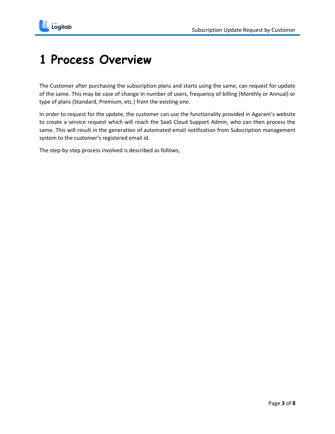

### <span id="page-2-0"></span>**1 Process Overview**

The Customer after purchasing the subscription plans and starts using the same, can request for update of the same. This may be case of change in number of users, frequency of billing (Monthly or Annual) or type of plans (Standard, Premium, etc.) from the existing one.

In order to request for the update, the customer can use the functionality provided in Agaram's website to create a service request which will reach the SaaS Cloud Support Admin, who can then process the same. This will result in the generation of automated email notification from Subscription management system to the customer's registered email id.

The step-by-step process involved is described as follows;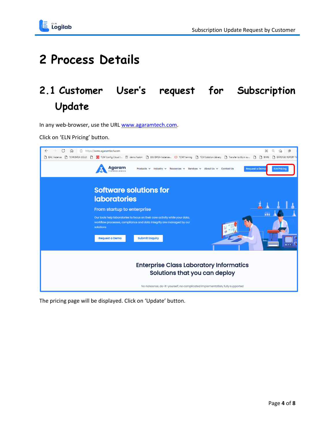

## <span id="page-3-0"></span>**2 Process Details**

#### <span id="page-3-1"></span>**2.1 Customer User's request for Subscription Update**

In any web-browser, use the URL [www.agaramtech.com.](http://www.agaramtech.com/)

Click on 'ELN Pricing' button.



The pricing page will be displayed. Click on 'Update' button.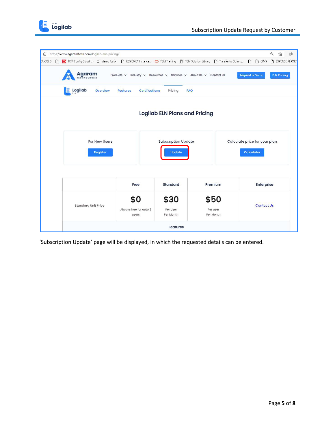

| â                                    | https://www.agaramtech.com/logilab-eln-pricing/                                                                                         |                                          |                                             |                                  |                                                    | Q<br>像<br>55            |  |
|--------------------------------------|-----------------------------------------------------------------------------------------------------------------------------------------|------------------------------------------|---------------------------------------------|----------------------------------|----------------------------------------------------|-------------------------|--|
| EA GOLD<br>ſ٩                        | O TCM Config Cloud I   demo fusion   B EBS EMEA Instance   O TCM Training   B TCM Solution Library   B Transfer to GL in su   B   B IMS |                                          |                                             |                                  |                                                    | <b>P</b> EXPENSE REPORT |  |
|                                      | Agaram<br><b>TECHNOLOGIES</b>                                                                                                           | Products $\vee$ Industry $\vee$          | Resources v                                 | Services v About Us v Contact Us | <b>Request a Demo</b>                              | <b>ELN Pricing</b>      |  |
|                                      | Logilab<br>Ε<br>Overview                                                                                                                | <b>Certifications</b><br><b>Features</b> | Pricing<br>FAQ                              |                                  |                                                    |                         |  |
| <b>Logilab ELN Plans and Pricing</b> |                                                                                                                                         |                                          |                                             |                                  |                                                    |                         |  |
|                                      | For New Users<br><b>Register</b>                                                                                                        |                                          | <b>Subscription Update</b><br><b>Update</b> |                                  | Calculate price for your plan<br><b>Calculator</b> |                         |  |
|                                      |                                                                                                                                         | Free                                     | <b>Standard</b>                             | Premium                          | Enterprise                                         |                         |  |
|                                      | <b>Standard Unit Price</b>                                                                                                              | \$0<br>Always free for upto 3<br>users   | \$30<br>Per User<br>Per Month               | \$50<br>Per user<br>Per Month    | <b>Contact Us</b>                                  |                         |  |
| <b>Features</b>                      |                                                                                                                                         |                                          |                                             |                                  |                                                    |                         |  |

'Subscription Update' page will be displayed, in which the requested details can be entered.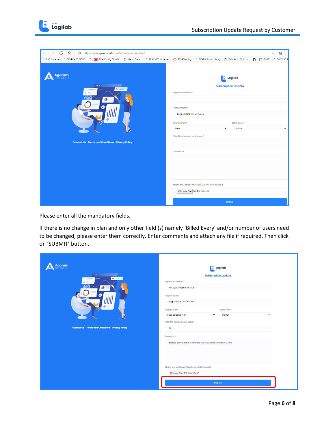

| $\mathcal{C}$<br>https://www.agaramtech.com/subscription-update/<br>$\Omega$                                                                               | $\Theta$<br>$\vec{c}$                                                                                                                                                                                                               |
|------------------------------------------------------------------------------------------------------------------------------------------------------------|-------------------------------------------------------------------------------------------------------------------------------------------------------------------------------------------------------------------------------------|
| B BAC Instance B TCM EMEA GOLD B CM Config Cloud I El demo fusion B EBS EMEA Instance O TCM Taining. B TCM Solution Library B Transfer to GL in su B B IMS | EXPENSE R                                                                                                                                                                                                                           |
| <b>Agaram</b><br>$\cdots$<br>$\circ$ =<br><b>Contact Us Terms and Conditions Privacy Policy</b>                                                            | <b>Logilab</b><br><b>Subscription Update</b><br>Registered Email id:*<br>Product Name*<br>Logilab ELN Cloud Saas<br>Change Plan*<br>Billed Every*<br>Month<br>$\check{~}$<br>Free<br>$\checkmark$<br>Enter the updated no of users* |
|                                                                                                                                                            | <b>Comments</b>                                                                                                                                                                                                                     |
|                                                                                                                                                            | Attach any additional Files/Documents if needed<br>Choose File No file chosen                                                                                                                                                       |
|                                                                                                                                                            | <b>SUBMIT</b>                                                                                                                                                                                                                       |

Please enter all the mandatory fields.

If there is no change in plan and only other field (s) namely 'Billed Every' and/or number of users need to be changed, please enter them correctly. Enter comments and attach any file if required. Then click on 'SUBMIT' button.

| <b>Agaram</b>                                         | <b>Logilab</b>                                                                |  |  |
|-------------------------------------------------------|-------------------------------------------------------------------------------|--|--|
| $\cdots$<br>$\circ$ =                                 | <b>Subscription Update</b>                                                    |  |  |
|                                                       | Registered Email id:*                                                         |  |  |
|                                                       | vijiraghavlf@yahoo.com                                                        |  |  |
|                                                       | Product Name*                                                                 |  |  |
|                                                       | <b>Logilab ELN Cloud Saas</b>                                                 |  |  |
|                                                       | Change Plan*<br>Billed Every*                                                 |  |  |
|                                                       | <b>Keep Existing Plan</b><br>$\check{~}$<br>$\checkmark$<br>Month             |  |  |
|                                                       | Enter the updated no of users*                                                |  |  |
| <b>Contact Us Terms and Conditions Privacy Policy</b> | 10                                                                            |  |  |
|                                                       | Comments                                                                      |  |  |
|                                                       | Please provide the refund for the reduced number of users                     |  |  |
|                                                       |                                                                               |  |  |
|                                                       |                                                                               |  |  |
|                                                       |                                                                               |  |  |
|                                                       | Attach any additional Files/Documents if needed<br>Choose File No file chosen |  |  |
|                                                       |                                                                               |  |  |
|                                                       | <b>SUBMIT</b>                                                                 |  |  |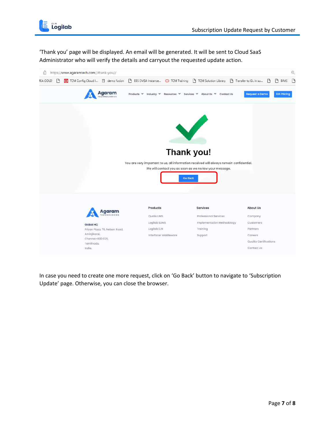

'Thank you' page will be displayed. An email will be generated. It will be sent to Cloud SaaS Administrator who will verify the details and carryout the requested update action.



In case you need to create one more request, click on 'Go Back' button to navigate to 'Subscription Update' page. Otherwise, you can close the browser.